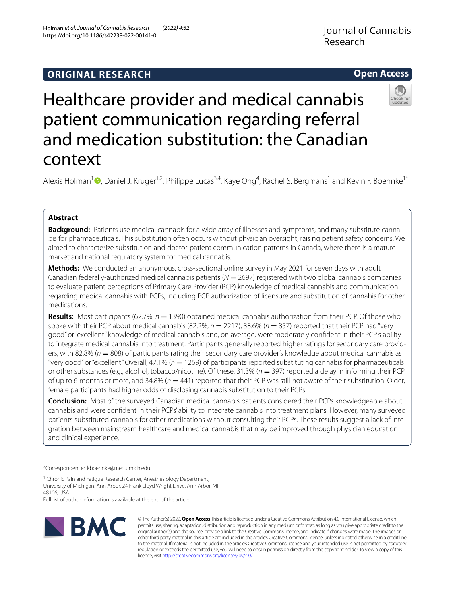https://doi.org/10.1186/s42238-022-00141-0

Holman *et al. Journal of Cannabis Research (2022) 4:32* 

# **Open Access**



# Healthcare provider and medical cannabis patient communication regarding referral and medication substitution: the Canadian context

Alexis Holman<sup>[1](https://orcid.org/0000-0001-9914-3981)</sup> (D, Daniel J. Kruger<sup>1,2</sup>, Philippe Lucas<sup>3,4</sup>, Kaye Ong<sup>4</sup>, Rachel S. Bergmans<sup>1</sup> and Kevin F. Boehnke<sup>1\*</sup>

## **Abstract**

**Background:** Patients use medical cannabis for a wide array of illnesses and symptoms, and many substitute cannabis for pharmaceuticals. This substitution often occurs without physician oversight, raising patient safety concerns. We aimed to characterize substitution and doctor-patient communication patterns in Canada, where there is a mature market and national regulatory system for medical cannabis.

**Methods:** We conducted an anonymous, cross-sectional online survey in May 2021 for seven days with adult Canadian federally-authorized medical cannabis patients (*N* = 2697) registered with two global cannabis companies to evaluate patient perceptions of Primary Care Provider (PCP) knowledge of medical cannabis and communication regarding medical cannabis with PCPs, including PCP authorization of licensure and substitution of cannabis for other medications.

**Results:** Most participants (62.7%,  $n = 1390$ ) obtained medical cannabis authorization from their PCP. Of those who spoke with their PCP about medical cannabis (82.2%,  $n = 2217$ ), 38.6% ( $n = 857$ ) reported that their PCP had "very good" or "excellent" knowledge of medical cannabis and, on average, were moderately confdent in their PCP's ability to integrate medical cannabis into treatment. Participants generally reported higher ratings for secondary care providers, with 82.8% (*n* = 808) of participants rating their secondary care provider's knowledge about medical cannabis as "very good" or "excellent." Overall, 47.1% (*n* = 1269) of participants reported substituting cannabis for pharmaceuticals or other substances (e.g., alcohol, tobacco/nicotine). Of these, 31.3% (*n* = 397) reported a delay in informing their PCP of up to 6 months or more, and  $34.8\%$  ( $n = 441$ ) reported that their PCP was still not aware of their substitution. Older, female participants had higher odds of disclosing cannabis substitution to their PCPs.

**Conclusion:** Most of the surveyed Canadian medical cannabis patients considered their PCPs knowledgeable about cannabis and were confdent in their PCPs' ability to integrate cannabis into treatment plans. However, many surveyed patients substituted cannabis for other medications without consulting their PCPs. These results suggest a lack of integration between mainstream healthcare and medical cannabis that may be improved through physician education and clinical experience.

\*Correspondence: kboehnke@med.umich.edu

<sup>1</sup> Chronic Pain and Fatigue Research Center, Anesthesiology Department, University of Michigan, Ann Arbor, 24 Frank Lloyd Wright Drive, Ann Arbor, MI 48106, USA

Full list of author information is available at the end of the article



© The Author(s) 2022. **Open Access** This article is licensed under a Creative Commons Attribution 4.0 International License, which permits use, sharing, adaptation, distribution and reproduction in any medium or format, as long as you give appropriate credit to the original author(s) and the source, provide a link to the Creative Commons licence, and indicate if changes were made. The images or other third party material in this article are included in the article's Creative Commons licence, unless indicated otherwise in a credit line to the material. If material is not included in the article's Creative Commons licence and your intended use is not permitted by statutory regulation or exceeds the permitted use, you will need to obtain permission directly from the copyright holder. To view a copy of this licence, visit [http://creativecommons.org/licenses/by/4.0/.](http://creativecommons.org/licenses/by/4.0/)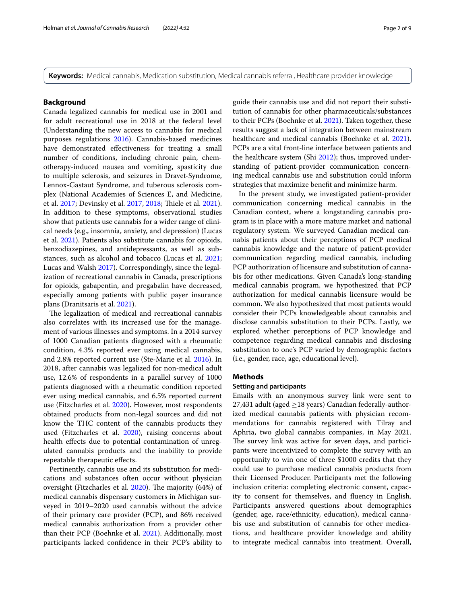**Keywords:** Medical cannabis, Medication substitution, Medical cannabis referral, Healthcare provider knowledge

## **Background**

Canada legalized cannabis for medical use in 2001 and for adult recreational use in 2018 at the federal level (Understanding the new access to cannabis for medical purposes regulations [2016\)](#page-8-0). Cannabis-based medicines have demonstrated efectiveness for treating a small number of conditions, including chronic pain, chemotherapy-induced nausea and vomiting, spasticity due to multiple sclerosis, and seizures in Dravet-Syndrome, Lennox-Gastaut Syndrome, and tuberous sclerosis complex (National Academies of Sciences E, and Medicine, et al. [2017;](#page-8-1) Devinsky et al. [2017](#page-7-0), [2018;](#page-7-1) Tiele et al. [2021](#page-8-2)). In addition to these symptoms, observational studies show that patients use cannabis for a wider range of clinical needs (e.g., insomnia, anxiety, and depression) (Lucas et al. [2021](#page-8-3)). Patients also substitute cannabis for opioids, benzodiazepines, and antidepressants, as well as substances, such as alcohol and tobacco (Lucas et al. [2021](#page-8-3); Lucas and Walsh [2017](#page-8-4)). Correspondingly, since the legalization of recreational cannabis in Canada, prescriptions for opioids, gabapentin, and pregabalin have decreased, especially among patients with public payer insurance plans (Dranitsaris et al. [2021\)](#page-7-2).

The legalization of medical and recreational cannabis also correlates with its increased use for the management of various illnesses and symptoms. In a 2014 survey of 1000 Canadian patients diagnosed with a rheumatic condition, 4.3% reported ever using medical cannabis, and 2.8% reported current use (Ste-Marie et al. [2016\)](#page-8-5). In 2018, after cannabis was legalized for non-medical adult use, 12.6% of respondents in a parallel survey of 1000 patients diagnosed with a rheumatic condition reported ever using medical cannabis, and 6.5% reported current use (Fitzcharles et al. [2020\)](#page-7-3). However, most respondents obtained products from non-legal sources and did not know the THC content of the cannabis products they used (Fitzcharles et al. [2020](#page-7-3)), raising concerns about health effects due to potential contamination of unregulated cannabis products and the inability to provide repeatable therapeutic efects.

Pertinently, cannabis use and its substitution for medications and substances often occur without physician oversight (Fitzcharles et al. [2020](#page-7-3)). The majority (64%) of medical cannabis dispensary customers in Michigan surveyed in 2019–2020 used cannabis without the advice of their primary care provider (PCP), and 86% received medical cannabis authorization from a provider other than their PCP (Boehnke et al. [2021](#page-7-4)). Additionally, most participants lacked confdence in their PCP's ability to guide their cannabis use and did not report their substitution of cannabis for other pharmaceuticals/substances to their PCPs (Boehnke et al. [2021](#page-7-4)). Taken together, these results suggest a lack of integration between mainstream healthcare and medical cannabis (Boehnke et al. [2021](#page-7-4)). PCPs are a vital front-line interface between patients and the healthcare system (Shi [2012\)](#page-8-6); thus, improved understanding of patient-provider communication concerning medical cannabis use and substitution could inform strategies that maximize beneft and minimize harm.

In the present study, we investigated patient-provider communication concerning medical cannabis in the Canadian context, where a longstanding cannabis program is in place with a more mature market and national regulatory system. We surveyed Canadian medical cannabis patients about their perceptions of PCP medical cannabis knowledge and the nature of patient-provider communication regarding medical cannabis, including PCP authorization of licensure and substitution of cannabis for other medications. Given Canada's long-standing medical cannabis program, we hypothesized that PCP authorization for medical cannabis licensure would be common. We also hypothesized that most patients would consider their PCPs knowledgeable about cannabis and disclose cannabis substitution to their PCPs. Lastly, we explored whether perceptions of PCP knowledge and competence regarding medical cannabis and disclosing substitution to one's PCP varied by demographic factors (i.e., gender, race, age, educational level).

## **Methods**

## **Setting and participants**

Emails with an anonymous survey link were sent to 27,431 adult (aged  $\geq$ 18 years) Canadian federally-authorized medical cannabis patients with physician recommendations for cannabis registered with Tilray and Aphria, two global cannabis companies, in May 2021. The survey link was active for seven days, and participants were incentivized to complete the survey with an opportunity to win one of three \$1000 credits that they could use to purchase medical cannabis products from their Licensed Producer. Participants met the following inclusion criteria: completing electronic consent, capacity to consent for themselves, and fuency in English. Participants answered questions about demographics (gender, age, race/ethnicity, education), medical cannabis use and substitution of cannabis for other medications, and healthcare provider knowledge and ability to integrate medical cannabis into treatment. Overall,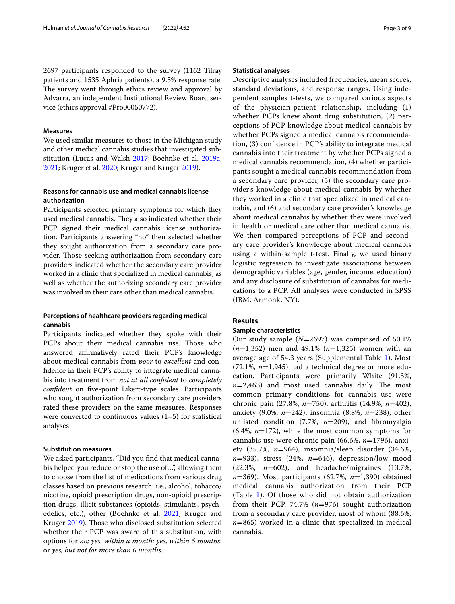2697 participants responded to the survey (1162 Tilray patients and 1535 Aphria patients), a 9.5% response rate. The survey went through ethics review and approval by Advarra, an independent Institutional Review Board service (ethics approval #Pro00050772).

### **Measures**

We used similar measures to those in the Michigan study and other medical cannabis studies that investigated substitution (Lucas and Walsh [2017;](#page-8-4) Boehnke et al. [2019a](#page-7-5), [2021](#page-7-4); Kruger et al. [2020](#page-8-7); Kruger and Kruger [2019\)](#page-8-8).

## **Reasons for cannabis use and medical cannabis license authorization**

Participants selected primary symptoms for which they used medical cannabis. They also indicated whether their PCP signed their medical cannabis license authorization. Participants answering "no" then selected whether they sought authorization from a secondary care provider. Those seeking authorization from secondary care providers indicated whether the secondary care provider worked in a clinic that specialized in medical cannabis, as well as whether the authorizing secondary care provider was involved in their care other than medical cannabis.

## **Perceptions of healthcare providers regarding medical cannabis**

Participants indicated whether they spoke with their PCPs about their medical cannabis use. Those who answered affirmatively rated their PCP's knowledge about medical cannabis from *poor* to *excellent* and confdence in their PCP's ability to integrate medical cannabis into treatment from *not at all confdent* to *completely confdent* on fve-point Likert-type scales. Participants who sought authorization from secondary care providers rated these providers on the same measures. Responses were converted to continuous values  $(1-5)$  for statistical analyses.

## **Substitution measures**

We asked participants, "Did you fnd that medical cannabis helped you reduce or stop the use of…", allowing them to choose from the list of medications from various drug classes based on previous research: i.e., alcohol, tobacco/ nicotine, opioid prescription drugs, non-opioid prescription drugs, illicit substances (opioids, stimulants, psychedelics, etc.), other (Boehnke et al. [2021](#page-7-4); Kruger and Kruger [2019](#page-8-8)). Those who disclosed substitution selected whether their PCP was aware of this substitution, with options for *no; yes, within a month; yes, within 6 months*; or *yes, but not for more than 6 months.*

## **Statistical analyses**

Descriptive analyses included frequencies, mean scores, standard deviations, and response ranges. Using independent samples t-tests, we compared various aspects of the physician-patient relationship, including (1) whether PCPs knew about drug substitution, (2) perceptions of PCP knowledge about medical cannabis by whether PCPs signed a medical cannabis recommendation, (3) confdence in PCP's ability to integrate medical cannabis into their treatment by whether PCPs signed a medical cannabis recommendation, (4) whether participants sought a medical cannabis recommendation from a secondary care provider, (5) the secondary care provider's knowledge about medical cannabis by whether they worked in a clinic that specialized in medical cannabis, and (6) and secondary care provider's knowledge about medical cannabis by whether they were involved in health or medical care other than medical cannabis. We then compared perceptions of PCP and secondary care provider's knowledge about medical cannabis using a within-sample t-test. Finally, we used binary logistic regression to investigate associations between demographic variables (age, gender, income, education) and any disclosure of substitution of cannabis for medications to a PCP. All analyses were conducted in SPSS (IBM, Armonk, NY).

## **Results**

### **Sample characteristics**

Our study sample (*N*=2697) was comprised of 50.1% (*n*=1,352) men and 49.1% (*n*=1,325) women with an average age of 54.3 years (Supplemental Table [1](#page-6-0)). Most (72.1%, *n*=1,945) had a technical degree or more education. Participants were primarily White (91.3%,  $n=2,463$ ) and most used cannabis daily. The most common primary conditions for cannabis use were chronic pain (27.8%, *n*=750), arthritis (14.9%, *n*=402), anxiety (9.0%, *n*=242), insomnia (8.8%, *n*=238), other unlisted condition (7.7%, *n*=209), and fbromyalgia (6.4%, *n*=172), while the most common symptoms for cannabis use were chronic pain (66.6%, *n*=1796), anxiety (35.7%, *n*=964), insomnia/sleep disorder (34.6%, *n*=933), stress (24%, *n*=646), depression/low mood (22.3%, *n*=602), and headache/migraines (13.7%, *n*=369). Most participants (62.7%, *n*=1,390) obtained medical cannabis authorization from their PCP (Table [1](#page-3-0)). Of those who did not obtain authorization from their PCP, 74.7% (*n*=976) sought authorization from a secondary care provider, most of whom (88.6%, *n*=865) worked in a clinic that specialized in medical cannabis.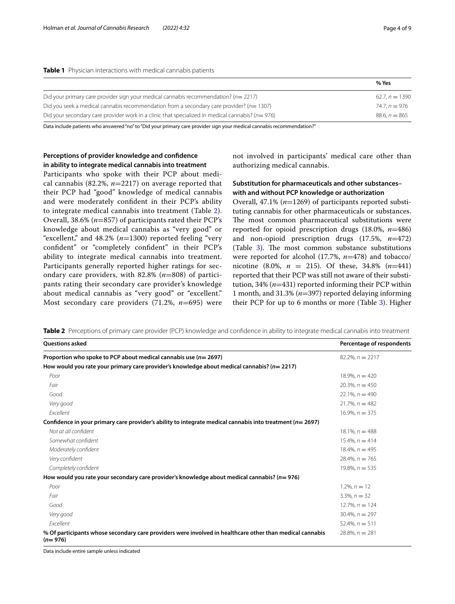| ÷ |  |
|---|--|
|   |  |
|   |  |
|   |  |

<span id="page-3-0"></span>

|                                                                                                     | % Yes            |
|-----------------------------------------------------------------------------------------------------|------------------|
| Did your primary care provider sign your medical cannabis recommendation? $(n=2217)$                | $62.7. n = 1390$ |
| Did you seek a medical cannabis recommendation from a secondary care provider? $(n=1307)$           | $74.7. n = 976$  |
| Did your secondary care provider work in a clinic that specialized in medical cannabis? ( $n=976$ ) | $88.6. n = 865$  |

Data include patients who answered "no" to "Did your primary care provider sign your medical cannabis recommendation?"

## **Perceptions of provider knowledge and confdence in ability to integrate medical cannabis into treatment**

Participants who spoke with their PCP about medical cannabis (82.2%, *n*=2217) on average reported that their PCP had "good" knowledge of medical cannabis and were moderately confdent in their PCP's ability to integrate medical cannabis into treatment (Table [2\)](#page-3-1). Overall, 38.6% (*n*=857) of participants rated their PCP's knowledge about medical cannabis as "very good" or "excellent," and 48.2% (*n*=1300) reported feeling "very confdent" or "completely confdent" in their PCP's ability to integrate medical cannabis into treatment. Participants generally reported higher ratings for secondary care providers, with 82.8% (*n*=808) of participants rating their secondary care provider's knowledge about medical cannabis as "very good" or "excellent." Most secondary care providers (71.2%, *n*=695) were

not involved in participants' medical care other than authorizing medical cannabis.

## **Substitution for pharmaceuticals and other substances– with and without PCP knowledge or authorization**

Overall, 47.1% (*n*=1269) of participants reported substituting cannabis for other pharmaceuticals or substances. The most common pharmaceutical substitutions were reported for opioid prescription drugs (18.0%, *n*=486) and non-opioid prescription drugs (17.5%, *n*=472) (Table  $3$ ). The most common substance substitutions were reported for alcohol (17.7%, *n*=478) and tobacco/ nicotine (8.0%, *n* = 215). Of these, 34.8% (*n*=441) reported that their PCP was still not aware of their substitution, 34% (*n*=431) reported informing their PCP within 1 month, and 31.3% (*n*=397) reported delaying informing their PCP for up to 6 months or more (Table [3](#page-4-0)). Higher

<span id="page-3-1"></span>**Table 2** Perceptions of primary care provider (PCP) knowledge and confidence in ability to integrate medical cannabis into treatment

| <b>Questions asked</b>                                                                                                | Percentage of respondents |
|-----------------------------------------------------------------------------------------------------------------------|---------------------------|
| Proportion who spoke to PCP about medical cannabis use ( $n=2697$ )                                                   | $82.2\%$ , $n = 2217$     |
| How would you rate your primary care provider's knowledge about medical cannabis? ( $n=2217$ )                        |                           |
| Poor                                                                                                                  | $18.9\%$ , $n = 420$      |
| Fair                                                                                                                  | $20.3\%$ , $n = 450$      |
| Good                                                                                                                  | $22.1\%$ , $n = 490$      |
| Very good                                                                                                             | $21.7\%$ , $n = 482$      |
| Excellent                                                                                                             | $16.9\%$ , $n = 375$      |
| Confidence in your primary care provider's ability to integrate medical cannabis into treatment ( $n=2697$ )          |                           |
| Not at all confident                                                                                                  | $18.1\%$ , $n = 488$      |
| Somewhat confident                                                                                                    | $15.4\%$ , $n = 414$      |
| Moderately confident                                                                                                  | $18.4\%$ , $n = 495$      |
| Very confident                                                                                                        | $28.4\%$ , $n = 765$      |
| Completely confident                                                                                                  | $19.8\%$ , $n = 535$      |
| How would you rate your secondary care provider's knowledge about medical cannabis? (n= 976)                          |                           |
| Poor                                                                                                                  | $1.2\%$ , $n = 12$        |
| Fair                                                                                                                  | $3.3\%$ , $n = 32$        |
| Good                                                                                                                  | $12.7\%$ , $n = 124$      |
| Very good                                                                                                             | $30.4\%$ , $n = 297$      |
| Excellent                                                                                                             | $52.4\%$ , $n = 511$      |
| % Of participants whose secondary care providers were involved in healthcare other than medical cannabis<br>$(n=976)$ | $28.8\%$ , $n = 281$      |

Data include entire sample unless indicated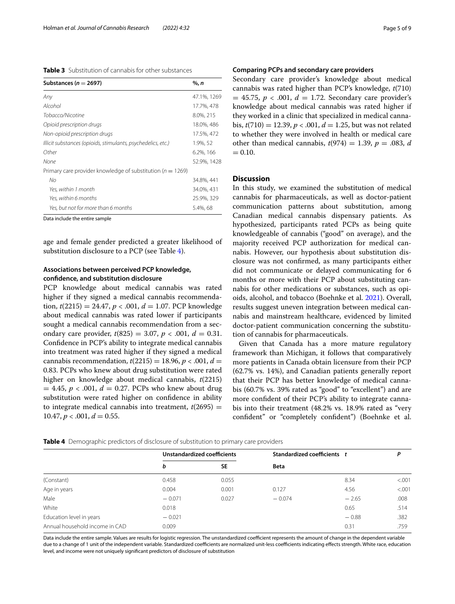<span id="page-4-0"></span>

| Substances ( $n = 2697$ )                                      | %, n        |
|----------------------------------------------------------------|-------------|
| Any                                                            | 47.1%, 1269 |
| Alcohol                                                        | 17.7%, 478  |
| Tobacco/Nicotine                                               | 8.0%, 215   |
| Opioid prescription drugs                                      | 18.0%, 486  |
| Non-opioid prescription drugs                                  | 17.5%, 472  |
| Illicit substances (opioids, stimulants, psychedelics, etc.)   | 1.9%, 52    |
| Other                                                          | 6.2%, 166   |
| None                                                           | 52.9%, 1428 |
| Primary care provider knowledge of substitution ( $n = 1269$ ) |             |
| No                                                             | 34.8%, 441  |
| Yes, within 1 month                                            | 34.0%, 431  |
| Yes, within 6 months                                           | 25.9%, 329  |
| Yes, but not for more than 6 months                            | 5.4%, 68    |

age and female gender predicted a greater likelihood of substitution disclosure to a PCP (see Table [4](#page-4-1)).

## **Associations between perceived PCP knowledge, confdence, and substitution disclosure**

PCP knowledge about medical cannabis was rated higher if they signed a medical cannabis recommendation,  $t(2215) = 24.47$ ,  $p < .001$ ,  $d = 1.07$ . PCP knowledge about medical cannabis was rated lower if participants sought a medical cannabis recommendation from a secondary care provider,  $t(825) = 3.07$ ,  $p < .001$ ,  $d = 0.31$ . Confdence in PCP's ability to integrate medical cannabis into treatment was rated higher if they signed a medical cannabis recommendation,  $t(2215) = 18.96, p < .001, d =$ 0.83. PCPs who knew about drug substitution were rated higher on knowledge about medical cannabis, *t*(2215)  $= 4.45, p < .001, d = 0.27$ . PCPs who knew about drug substitution were rated higher on confdence in ability to integrate medical cannabis into treatment,  $t(2695)$  =  $10.47, p < .001, d = 0.55.$ 

## **Comparing PCPs and secondary care providers**

Secondary care provider's knowledge about medical cannabis was rated higher than PCP's knowledge, *t*(710)  $= 45.75$ ,  $p < .001$ ,  $d = 1.72$ . Secondary care provider's knowledge about medical cannabis was rated higher if they worked in a clinic that specialized in medical cannabis, *t*(710) = 12.39, *p* < .001, *d* = 1.25, but was not related to whether they were involved in health or medical care other than medical cannabis,  $t(974) = 1.39$ ,  $p = .083$ , *d*  $= 0.10.$ 

## **Discussion**

In this study, we examined the substitution of medical cannabis for pharmaceuticals, as well as doctor-patient communication patterns about substitution, among Canadian medical cannabis dispensary patients. As hypothesized, participants rated PCPs as being quite knowledgeable of cannabis ("good" on average), and the majority received PCP authorization for medical cannabis. However, our hypothesis about substitution disclosure was not confrmed, as many participants either did not communicate or delayed communicating for 6 months or more with their PCP about substituting cannabis for other medications or substances, such as opioids, alcohol, and tobacco (Boehnke et al. [2021\)](#page-7-4). Overall, results suggest uneven integration between medical cannabis and mainstream healthcare, evidenced by limited doctor-patient communication concerning the substitution of cannabis for pharmaceuticals.

Given that Canada has a more mature regulatory framework than Michigan, it follows that comparatively more patients in Canada obtain licensure from their PCP (62.7% vs. 14%), and Canadian patients generally report that their PCP has better knowledge of medical cannabis (60.7% vs. 39% rated as "good" to "excellent") and are more confdent of their PCP's ability to integrate cannabis into their treatment (48.2% vs. 18.9% rated as "very confdent" or "completely confdent") (Boehnke et al.

<span id="page-4-1"></span>

|  |  |  |  |  |  | Table 4 Demographic predictors of disclosure of substitution to primary care providers |
|--|--|--|--|--|--|----------------------------------------------------------------------------------------|
|--|--|--|--|--|--|----------------------------------------------------------------------------------------|

|                                | Unstandardized coefficients |           | Standardized coefficients t |         | P      |
|--------------------------------|-----------------------------|-----------|-----------------------------|---------|--------|
|                                | b                           | <b>SE</b> | <b>Beta</b>                 |         |        |
| (Constant)                     | 0.458                       | 0.055     |                             | 8.34    | < .001 |
| Age in years                   | 0.004                       | 0.001     | 0.127                       | 4.56    | < .001 |
| Male                           | $-0.071$                    | 0.027     | $-0.074$                    | $-2.65$ | .008   |
| White                          | 0.018                       |           |                             | 0.65    | .514   |
| Education level in years       | $-0.021$                    |           |                             | $-0.88$ | .382   |
| Annual household income in CAD | 0.009                       |           |                             | 0.31    | .759   |
|                                |                             |           |                             |         |        |

Data include the entire sample. Values are results for logistic regression. The unstandardized coefficient represents the amount of change in the dependent variable due to a change of 1 unit of the independent variable. Standardized coefficients are normalized unit-less coefficients indicating effects strength. White race, education level, and income were not uniquely signifcant predictors of disclosure of substitution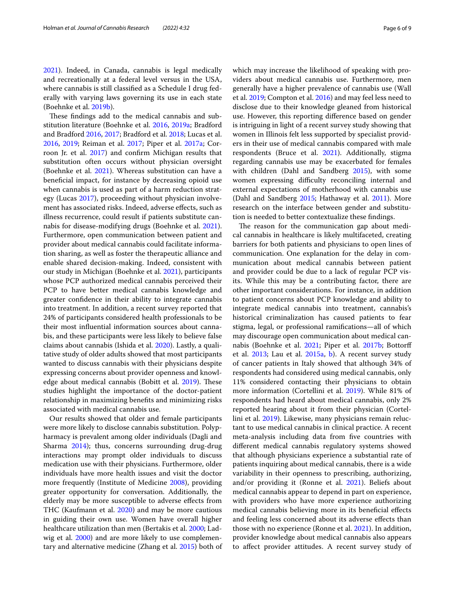[2021](#page-7-4)). Indeed, in Canada, cannabis is legal medically and recreationally at a federal level versus in the USA, where cannabis is still classifed as a Schedule I drug federally with varying laws governing its use in each state (Boehnke et al. [2019b\)](#page-7-6).

These findings add to the medical cannabis and substitution literature (Boehnke et al. [2016,](#page-7-7) [2019a;](#page-7-5) Bradford and Bradford [2016](#page-7-8), [2017;](#page-7-9) Bradford et al. [2018;](#page-7-10) Lucas et al. [2016](#page-8-9), [2019;](#page-8-10) Reiman et al. [2017](#page-8-11); Piper et al. [2017a;](#page-8-12) Corroon Jr. et al. [2017](#page-7-11)) and confrm Michigan results that substitution often occurs without physician oversight (Boehnke et al. [2021\)](#page-7-4). Whereas substitution can have a benefcial impact, for instance by decreasing opioid use when cannabis is used as part of a harm reduction strategy (Lucas [2017](#page-8-13)), proceeding without physician involvement has associated risks. Indeed, adverse efects, such as illness recurrence, could result if patients substitute cannabis for disease-modifying drugs (Boehnke et al. [2021](#page-7-4)). Furthermore, open communication between patient and provider about medical cannabis could facilitate information sharing, as well as foster the therapeutic alliance and enable shared decision-making. Indeed, consistent with our study in Michigan (Boehnke et al. [2021\)](#page-7-4), participants whose PCP authorized medical cannabis perceived their PCP to have better medical cannabis knowledge and greater confdence in their ability to integrate cannabis into treatment. In addition, a recent survey reported that 24% of participants considered health professionals to be their most infuential information sources about cannabis, and these participants were less likely to believe false claims about cannabis (Ishida et al. [2020\)](#page-7-12). Lastly, a qualitative study of older adults showed that most participants wanted to discuss cannabis with their physicians despite expressing concerns about provider openness and knowl-edge about medical cannabis (Bobitt et al. [2019\)](#page-7-13). These studies highlight the importance of the doctor-patient relationship in maximizing benefts and minimizing risks associated with medical cannabis use.

Our results showed that older and female participants were more likely to disclose cannabis substitution. Polypharmacy is prevalent among older individuals (Dagli and Sharma [2014](#page-7-14)); thus, concerns surrounding drug-drug interactions may prompt older individuals to discuss medication use with their physicians. Furthermore, older individuals have more health issues and visit the doctor more frequently (Institute of Medicine [2008](#page-7-15)), providing greater opportunity for conversation. Additionally, the elderly may be more susceptible to adverse efects from THC (Kaufmann et al. [2020](#page-7-16)) and may be more cautious in guiding their own use. Women have overall higher healthcare utilization than men (Bertakis et al. [2000](#page-7-17); Lad-wig et al. [2000](#page-8-14)) and are more likely to use complementary and alternative medicine (Zhang et al. [2015\)](#page-8-15) both of which may increase the likelihood of speaking with providers about medical cannabis use. Furthermore, men generally have a higher prevalence of cannabis use (Wall et al. [2019;](#page-8-16) Compton et al. [2016\)](#page-7-18) and may feel less need to disclose due to their knowledge gleaned from historical use. However, this reporting diference based on gender is intriguing in light of a recent survey study showing that women in Illinois felt less supported by specialist providers in their use of medical cannabis compared with male respondents (Bruce et al. [2021](#page-7-19)). Additionally, stigma regarding cannabis use may be exacerbated for females with children (Dahl and Sandberg [2015\)](#page-7-20), with some women expressing difficulty reconciling internal and external expectations of motherhood with cannabis use (Dahl and Sandberg [2015](#page-7-20); Hathaway et al. [2011\)](#page-7-21). More research on the interface between gender and substitution is needed to better contextualize these fndings.

The reason for the communication gap about medical cannabis in healthcare is likely multifaceted, creating barriers for both patients and physicians to open lines of communication. One explanation for the delay in communication about medical cannabis between patient and provider could be due to a lack of regular PCP visits. While this may be a contributing factor, there are other important considerations. For instance, in addition to patient concerns about PCP knowledge and ability to integrate medical cannabis into treatment, cannabis's historical criminalization has caused patients to fear stigma, legal, or professional ramifcations—all of which may discourage open communication about medical cannabis (Boehnke et al. [2021](#page-7-4); Piper et al. [2017b](#page-8-17); Bottorf et al. [2013](#page-7-22); Lau et al. [2015a](#page-8-18), [b\)](#page-8-19). A recent survey study of cancer patients in Italy showed that although 34% of respondents had considered using medical cannabis, only 11% considered contacting their physicians to obtain more information (Cortellini et al. [2019](#page-7-23)). While 81% of respondents had heard about medical cannabis, only 2% reported hearing about it from their physician (Cortellini et al. [2019](#page-7-23)). Likewise, many physicians remain reluctant to use medical cannabis in clinical practice. A recent meta-analysis including data from fve countries with diferent medical cannabis regulatory systems showed that although physicians experience a substantial rate of patients inquiring about medical cannabis, there is a wide variability in their openness to prescribing, authorizing, and/or providing it (Ronne et al. [2021](#page-8-20)). Beliefs about medical cannabis appear to depend in part on experience, with providers who have more experience authorizing medical cannabis believing more in its beneficial effects and feeling less concerned about its adverse efects than those with no experience (Ronne et al. [2021](#page-8-20)). In addition, provider knowledge about medical cannabis also appears to afect provider attitudes. A recent survey study of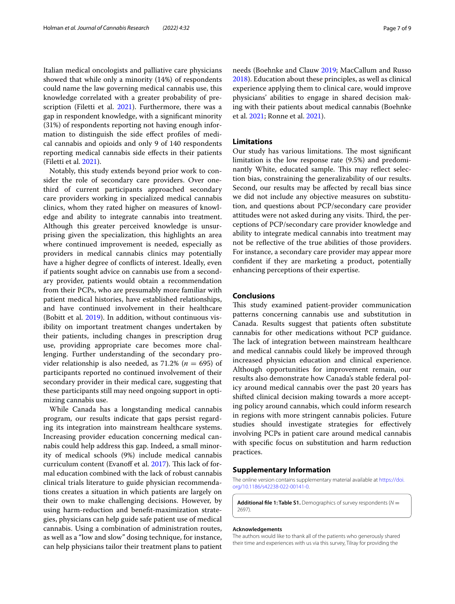Italian medical oncologists and palliative care physicians showed that while only a minority (14%) of respondents could name the law governing medical cannabis use, this knowledge correlated with a greater probability of pre-scription (Filetti et al. [2021](#page-7-24)). Furthermore, there was a gap in respondent knowledge, with a signifcant minority (31%) of respondents reporting not having enough information to distinguish the side efect profles of medical cannabis and opioids and only 9 of 140 respondents reporting medical cannabis side efects in their patients (Filetti et al. [2021](#page-7-24)).

Notably, this study extends beyond prior work to consider the role of secondary care providers. Over onethird of current participants approached secondary care providers working in specialized medical cannabis clinics, whom they rated higher on measures of knowledge and ability to integrate cannabis into treatment. Although this greater perceived knowledge is unsurprising given the specialization, this highlights an area where continued improvement is needed, especially as providers in medical cannabis clinics may potentially have a higher degree of conficts of interest. Ideally, even if patients sought advice on cannabis use from a secondary provider, patients would obtain a recommendation from their PCPs, who are presumably more familiar with patient medical histories, have established relationships, and have continued involvement in their healthcare (Bobitt et al. [2019\)](#page-7-13). In addition, without continuous visibility on important treatment changes undertaken by their patients, including changes in prescription drug use, providing appropriate care becomes more challenging. Further understanding of the secondary provider relationship is also needed, as  $71.2\%$  ( $n = 695$ ) of participants reported no continued involvement of their secondary provider in their medical care, suggesting that these participants still may need ongoing support in optimizing cannabis use.

While Canada has a longstanding medical cannabis program, our results indicate that gaps persist regarding its integration into mainstream healthcare systems. Increasing provider education concerning medical cannabis could help address this gap. Indeed, a small minority of medical schools (9%) include medical cannabis curriculum content (Evanoff et al. [2017\)](#page-7-25). This lack of formal education combined with the lack of robust cannabis clinical trials literature to guide physician recommendations creates a situation in which patients are largely on their own to make challenging decisions. However, by using harm-reduction and beneft-maximization strategies, physicians can help guide safe patient use of medical cannabis. Using a combination of administration routes, as well as a "low and slow" dosing technique, for instance, can help physicians tailor their treatment plans to patient needs (Boehnke and Clauw [2019](#page-7-26); MacCallum and Russo [2018](#page-8-21)). Education about these principles, as well as clinical experience applying them to clinical care, would improve physicians' abilities to engage in shared decision making with their patients about medical cannabis (Boehnke et al. [2021](#page-7-4); Ronne et al. [2021\)](#page-8-20).

## **Limitations**

Our study has various limitations. The most significant limitation is the low response rate (9.5%) and predominantly White, educated sample. This may reflect selection bias, constraining the generalizability of our results. Second, our results may be afected by recall bias since we did not include any objective measures on substitution, and questions about PCP/secondary care provider attitudes were not asked during any visits. Third, the perceptions of PCP/secondary care provider knowledge and ability to integrate medical cannabis into treatment may not be refective of the true abilities of those providers. For instance, a secondary care provider may appear more confdent if they are marketing a product, potentially enhancing perceptions of their expertise.

## **Conclusions**

This study examined patient-provider communication patterns concerning cannabis use and substitution in Canada. Results suggest that patients often substitute cannabis for other medications without PCP guidance. The lack of integration between mainstream healthcare and medical cannabis could likely be improved through increased physician education and clinical experience. Although opportunities for improvement remain, our results also demonstrate how Canada's stable federal policy around medical cannabis over the past 20 years has shifted clinical decision making towards a more accepting policy around cannabis, which could inform research in regions with more stringent cannabis policies. Future studies should investigate strategies for efectively involving PCPs in patient care around medical cannabis with specifc focus on substitution and harm reduction practices.

## **Supplementary Information**

The online version contains supplementary material available at [https://doi.](https://doi.org/10.1186/s42238-022-00141-0) [org/10.1186/s42238-022-00141-0](https://doi.org/10.1186/s42238-022-00141-0).

<span id="page-6-0"></span>**Additional fle 1: Table S1.** Demographics of survey respondents (*N* = 2697).

#### **Acknowledgements**

The authors would like to thank all of the patients who generously shared their time and experiences with us via this survey, Tilray for providing the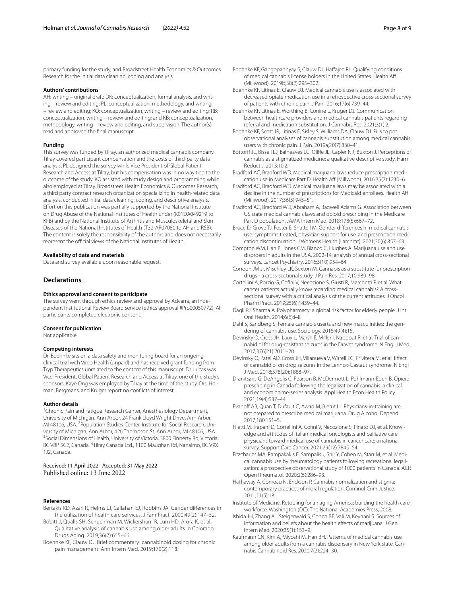primary funding for the study, and Broadstreet Health Economics & Outcomes Research for the initial data cleaning, coding and analysis.

#### **Authors' contributions**

AH: writing – original draft; DK: conceptualization, formal analysis, and writing – review and editing; PL: conceptualization, methodology, and writing – review and editing; KO: conceptualization, writing – review and editing; RB: conceptualization, writing – review and editing; and KB: conceptualization, methodology, writing – review and editing, and supervision. The author(s) read and approved the fnal manuscript.

#### **Funding**

This survey was funded by Tilray, an authorized medical cannabis company. Tilray covered participant compensation and the costs of third-party data analysis. PL designed the survey while Vice President of Global Patient Research and Access at Tilray, but his compensation was in no way tied to the outcome of the study. KO assisted with study design and programming while also employed at Tilray. Broadstreet Health Economics & Outcomes Research, a third party contract research organization specializing in health-related data analysis, conducted initial data cleaning, coding, and descriptive analysis. Efort on this publication was partially supported by the National Institute on Drug Abuse of the National Institutes of Health under (K01DA049219 to KFB) and by the National Institute of Arthritis and Musculoskeletal and Skin Diseases of the National Institutes of Health (T32-AR07080 to AH and RSB). The content is solely the responsibility of the authors and does not necessarily represent the official views of the National Institutes of Health.

#### **Availability of data and materials**

Data and survey available upon reasonable request.

## **Declarations**

#### **Ethics approval and consent to participate**

The survey went through ethics review and approval by Advarra, an independent Institutional Review Board service (ethics approval #Pro00050772). All participants completed electronic consent.

#### **Consent for publication**

Not applicable.

#### **Competing interests**

Dr. Boehnke sits on a data safety and monitoring board for an ongoing clinical trial with Vireo Health (unpaid) and has received grant funding from Tryp Therapeutics unrelated to the content of this manuscript. Dr. Lucas was Vice-President, Global Patient Research and Access at Tilray, one of the study's sponsors. Kaye Ong was employed by Tilray at the time of the study. Drs. Holman, Bergmans, and Kruger report no conficts of interest.

#### **Author details**

<sup>1</sup> Chronic Pain and Fatigue Research Center, Anesthesiology Department, University of Michigan, Ann Arbor, 24 Frank Lloyd Wright Drive, Ann Arbor, MI 48106, USA. <sup>2</sup> Population Studies Center, Institute for Social Research, University of Michigan, Ann Arbor, 426 Thompson St, Ann Arbor, MI 48106, USA. 3 <sup>3</sup> Social Dimensions of Health, University of Victoria, 3800 Finnerty Rd, Victoria, BC V8P 5C2, Canada. <sup>4</sup>Tilray Canada Ltd., 1100 Maughan Rd, Nanaimo, BC V9X 1J2, Canada.

Received: 11 April 2022 Accepted: 31 May 2022 Published online: 13 June 2022

#### **References**

- <span id="page-7-17"></span>Bertakis KD, Azari R, Helms LJ, Callahan EJ, Robbins JA. Gender diferences in the utilization of health care services. J Fam Pract. 2000;49(2):147–52.
- <span id="page-7-13"></span>Bobitt J, Qualls SH, Schuchman M, Wickersham R, Lum HD, Arora K, et al. Qualitative analysis of cannabis use among older adults in Colorado. Drugs Aging. 2019;36(7):655–66.
- <span id="page-7-26"></span>Boehnke KF, Clauw DJ. Brief commentary: cannabinoid dosing for chronic pain management. Ann Intern Med. 2019;170(2):118.
- <span id="page-7-6"></span>Boehnke KF, Gangopadhyay S, Clauw DJ, Haffajee RL. Qualifying conditions of medical cannabis license holders in the United States. Health Af (Millwood). 2019b;38(2):295–302.
- <span id="page-7-7"></span>Boehnke KF, Litinas E, Clauw DJ. Medical cannabis use is associated with decreased opiate medication use in a retrospective cross-sectional survey of patients with chronic pain. J Pain. 2016;17(6):739–44.
- <span id="page-7-4"></span>Boehnke KF, Litinas E, Worthing B, Conine L, Kruger DJ. Communication between healthcare providers and medical cannabis patients regarding referral and medication substitution. J Cannabis Res. 2021;3(1):2.
- <span id="page-7-5"></span>Boehnke KF, Scott JR, Litinas E, Sisley S, Williams DA, Clauw DJ. Pills to pot: observational analyses of cannabis substitution among medical cannabis users with chronic pain. J Pain. 2019a;20(7):830–41.
- <span id="page-7-22"></span>Bottorff JL, Bissell LJ, Balneaves LG, Oliffe JL, Capler NR, Buxton J. Perceptions of cannabis as a stigmatized medicine: a qualitative descriptive study. Harm Reduct J. 2013;10:2.
- <span id="page-7-8"></span>Bradford AC, Bradford WD. Medical marijuana laws reduce prescription medication use in Medicare Part D. Health Aff (Millwood). 2016;35(7):1230-6.
- <span id="page-7-9"></span>Bradford AC, Bradford WD. Medical marijuana laws may be associated with a decline in the number of prescriptions for Medicaid enrollees. Health Af (Millwood). 2017;36(5):945–51.
- <span id="page-7-10"></span>Bradford AC, Bradford WD, Abraham A, Bagwell Adams G. Association between US state medical cannabis laws and opioid prescribing in the Medicare Part D population. JAMA Intern Med. 2018;178(5):667–72.
- <span id="page-7-19"></span>Bruce D, Grove TJ, Foster E, Shattell M. Gender diferences in medical cannabis use: symptoms treated, physician support for use, and prescription medication discontinuation. J Womens Health (Larchmt). 2021;30(6):857–63.
- <span id="page-7-18"></span>Compton WM, Han B, Jones CM, Blanco C, Hughes A. Marijuana use and use disorders in adults in the USA, 2002-14: analysis of annual cross-sectional surveys. Lancet Psychiatry. 2016;3(10):954–64.
- <span id="page-7-11"></span>Corroon JM Jr, Mischley LK, Sexton M. Cannabis as a substitute for prescription drugs - a cross-sectional study. J Pain Res. 2017;10:989–98.
- <span id="page-7-23"></span>Cortellini A, Porzio G, Cofni V, Necozione S, Giusti R, Marchetti P, et al. What cancer patients actually know regarding medical cannabis? A crosssectional survey with a critical analysis of the current attitudes. J Oncol Pharm Pract. 2019;25(6):1439–44.
- <span id="page-7-14"></span>Dagli RJ, Sharma A. Polypharmacy: a global risk factor for elderly people. J Int Oral Health. 2014;6(6):i–ii.
- <span id="page-7-20"></span>Dahl S, Sandberg S. Female cannabis userts and new masculinities: the gendering of cannabis use. Sociology. 2015;49(4):15.
- <span id="page-7-0"></span>Devinsky O, Cross JH, Laux L, Marsh E, Miller I, Nabbout R, et al. Trial of cannabidiol for drug-resistant seizures in the Dravet syndrome. N Engl J Med. 2017;376(21):2011–20.
- <span id="page-7-1"></span>Devinsky O, Patel AD, Cross JH, Villanueva V, Wirrell EC, Privitera M, et al. Efect of cannabidiol on drop seizures in the Lennox-Gastaut syndrome. N Engl J Med. 2018;378(20):1888–97.
- <span id="page-7-2"></span>Dranitsaris G, DeAngelis C, Pearson B, McDermott L, Pohlmann-Eden B. Opioid prescribing in Canada following the legalization of cannabis: a clinical and economic time-series analysis. Appl Health Econ Health Policy. 2021;19(4):537–44.
- <span id="page-7-25"></span>Evanoff AB, Quan T, Dufault C, Awad M, Bierut LJ. Physicians-in-training are not prepared to prescribe medical marijuana. Drug Alcohol Depend. 2017;180:151–5.
- <span id="page-7-24"></span>Filetti M, Trapani D, Cortellini A, Cofni V, Necozione S, Pinato DJ, et al. Knowledge and attitudes of Italian medical oncologists and palliative care physicians toward medical use of cannabis in cancer care: a national survey. Support Care Cancer. 2021;29(12):7845–54.
- <span id="page-7-3"></span>Fitzcharles MA, Rampakakis E, Sampalis J, Shir Y, Cohen M, Starr M, et al. Medical cannabis use by rheumatology patients following recreational legalization: a prospective observational study of 1000 patients in Canada. ACR Open Rheumatol. 2020;2(5):286–93.
- <span id="page-7-21"></span>Hathaway A, Comeau N, Erickson P. Cannabis normalization and stigma: contemporary practices of moral regulation. Criminol Crim Justice. 2011;11(5):18.
- <span id="page-7-15"></span>Institute of Medicine. Retooling for an aging America: building the health care workforce. Washington (DC): The National Academies Press; 2008.
- <span id="page-7-12"></span>Ishida JH, Zhang AJ, Steigerwald S, Cohen BE, Vali M, Keyhani S. Sources of information and beliefs about the health effects of marijuana. J Gen Intern Med. 2020;35(1):153–9.
- <span id="page-7-16"></span>Kaufmann CN, Kim A, Miyoshi M, Han BH. Patterns of medical cannabis use among older adults from a cannabis dispensary in New York state. Cannabis Cannabinoid Res. 2020;7(2):224–30.